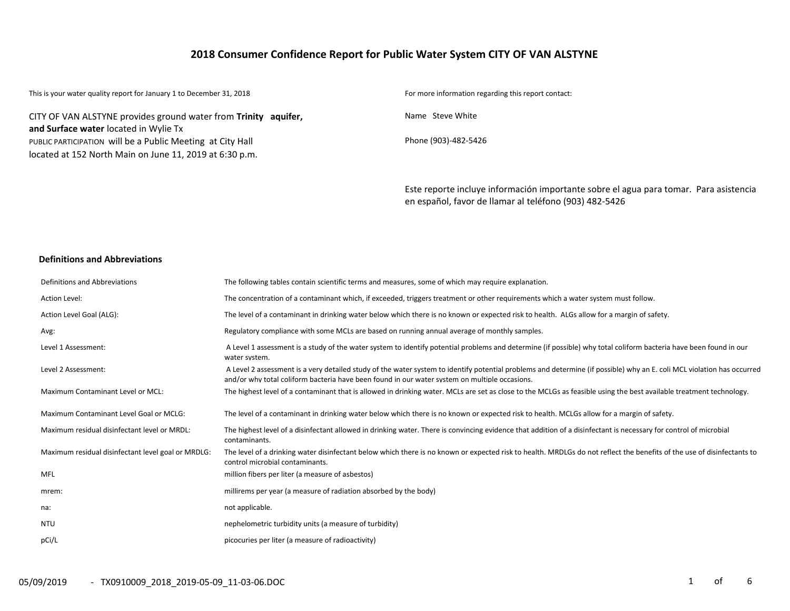### **2018 Consumer Confidence Report for Public Water System CITY OF VAN ALSTYNE**

| This is your water quality report for January 1 to December 31, 2018                                                  | For more information regarding this report contact:                                   |
|-----------------------------------------------------------------------------------------------------------------------|---------------------------------------------------------------------------------------|
| CITY OF VAN ALSTYNE provides ground water from Trinity aquifer,<br>and Surface water located in Wylie Tx              | Name Steve White                                                                      |
| PUBLIC PARTICIPATION will be a Public Meeting at City Hall<br>located at 152 North Main on June 11, 2019 at 6:30 p.m. | Phone (903)-482-5426                                                                  |
|                                                                                                                       | Este reporte incluye información importante sobre el agua para tomar. Para asistencia |

en español, favor de llamar al teléfono (903) 482-5426

#### **Definitions and Abbreviations**

| Definitions and Abbreviations                      | The following tables contain scientific terms and measures, some of which may require explanation.                                                                                                                                                                      |
|----------------------------------------------------|-------------------------------------------------------------------------------------------------------------------------------------------------------------------------------------------------------------------------------------------------------------------------|
| Action Level:                                      | The concentration of a contaminant which, if exceeded, triggers treatment or other requirements which a water system must follow.                                                                                                                                       |
| Action Level Goal (ALG):                           | The level of a contaminant in drinking water below which there is no known or expected risk to health. ALGs allow for a margin of safety.                                                                                                                               |
| Avg:                                               | Regulatory compliance with some MCLs are based on running annual average of monthly samples.                                                                                                                                                                            |
| Level 1 Assessment:                                | A Level 1 assessment is a study of the water system to identify potential problems and determine (if possible) why total coliform bacteria have been found in our<br>water system.                                                                                      |
| Level 2 Assessment:                                | A Level 2 assessment is a very detailed study of the water system to identify potential problems and determine (if possible) why an E. coli MCL violation has occurred<br>and/or why total coliform bacteria have been found in our water system on multiple occasions. |
| Maximum Contaminant Level or MCL:                  | The highest level of a contaminant that is allowed in drinking water. MCLs are set as close to the MCLGs as feasible using the best available treatment technology.                                                                                                     |
| Maximum Contaminant Level Goal or MCLG:            | The level of a contaminant in drinking water below which there is no known or expected risk to health. MCLGs allow for a margin of safety.                                                                                                                              |
| Maximum residual disinfectant level or MRDL:       | The highest level of a disinfectant allowed in drinking water. There is convincing evidence that addition of a disinfectant is necessary for control of microbial<br>contaminants.                                                                                      |
| Maximum residual disinfectant level goal or MRDLG: | The level of a drinking water disinfectant below which there is no known or expected risk to health. MRDLGs do not reflect the benefits of the use of disinfectants to<br>control microbial contaminants.                                                               |
| <b>MFL</b>                                         | million fibers per liter (a measure of asbestos)                                                                                                                                                                                                                        |
| mrem:                                              | millirems per year (a measure of radiation absorbed by the body)                                                                                                                                                                                                        |
| na:                                                | not applicable.                                                                                                                                                                                                                                                         |
| NTU                                                | nephelometric turbidity units (a measure of turbidity)                                                                                                                                                                                                                  |
| pCi/L                                              | picocuries per liter (a measure of radioactivity)                                                                                                                                                                                                                       |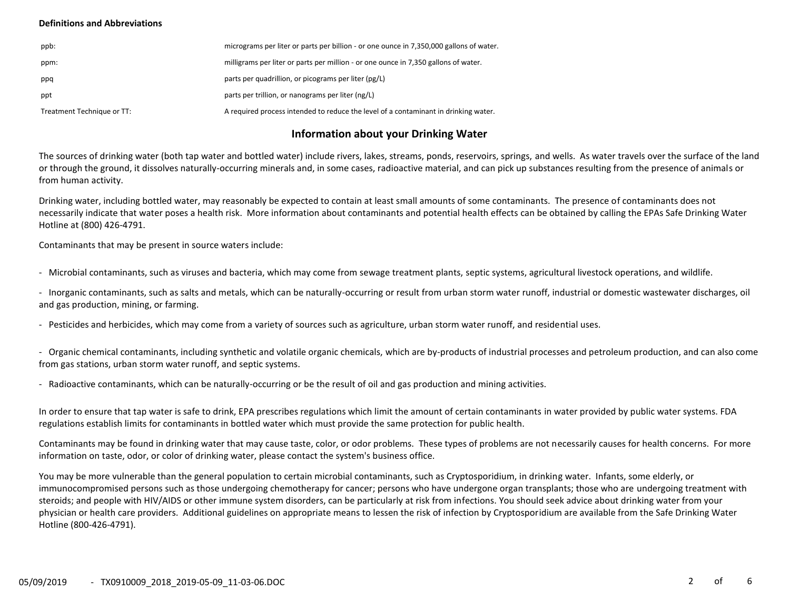#### **Definitions and Abbreviations**

| ppb:                       | micrograms per liter or parts per billion - or one ounce in 7,350,000 gallons of water. |
|----------------------------|-----------------------------------------------------------------------------------------|
| ppm:                       | milligrams per liter or parts per million - or one ounce in 7,350 gallons of water.     |
| ppq                        | parts per quadrillion, or picograms per liter (pg/L)                                    |
| ppt                        | parts per trillion, or nanograms per liter (ng/L)                                       |
| Treatment Technique or TT: | A required process intended to reduce the level of a contaminant in drinking water.     |

### **Information about your Drinking Water**

The sources of drinking water (both tap water and bottled water) include rivers, lakes, streams, ponds, reservoirs, springs, and wells. As water travels over the surface of the land or through the ground, it dissolves naturally-occurring minerals and, in some cases, radioactive material, and can pick up substances resulting from the presence of animals or from human activity.

Drinking water, including bottled water, may reasonably be expected to contain at least small amounts of some contaminants. The presence of contaminants does not necessarily indicate that water poses a health risk. More information about contaminants and potential health effects can be obtained by calling the EPAs Safe Drinking Water Hotline at (800) 426-4791.

Contaminants that may be present in source waters include:

- Microbial contaminants, such as viruses and bacteria, which may come from sewage treatment plants, septic systems, agricultural livestock operations, and wildlife.

- Inorganic contaminants, such as salts and metals, which can be naturally-occurring or result from urban storm water runoff, industrial or domestic wastewater discharges, oil and gas production, mining, or farming.

- Pesticides and herbicides, which may come from a variety of sources such as agriculture, urban storm water runoff, and residential uses.

- Organic chemical contaminants, including synthetic and volatile organic chemicals, which are by-products of industrial processes and petroleum production, and can also come from gas stations, urban storm water runoff, and septic systems.

- Radioactive contaminants, which can be naturally-occurring or be the result of oil and gas production and mining activities.

In order to ensure that tap water is safe to drink, EPA prescribes regulations which limit the amount of certain contaminants in water provided by public water systems. FDA regulations establish limits for contaminants in bottled water which must provide the same protection for public health.

Contaminants may be found in drinking water that may cause taste, color, or odor problems. These types of problems are not necessarily causes for health concerns. For more information on taste, odor, or color of drinking water, please contact the system's business office.

You may be more vulnerable than the general population to certain microbial contaminants, such as Cryptosporidium, in drinking water. Infants, some elderly, or immunocompromised persons such as those undergoing chemotherapy for cancer; persons who have undergone organ transplants; those who are undergoing treatment with steroids; and people with HIV/AIDS or other immune system disorders, can be particularly at risk from infections. You should seek advice about drinking water from your physician or health care providers. Additional guidelines on appropriate means to lessen the risk of infection by Cryptosporidium are available from the Safe Drinking Water Hotline (800-426-4791).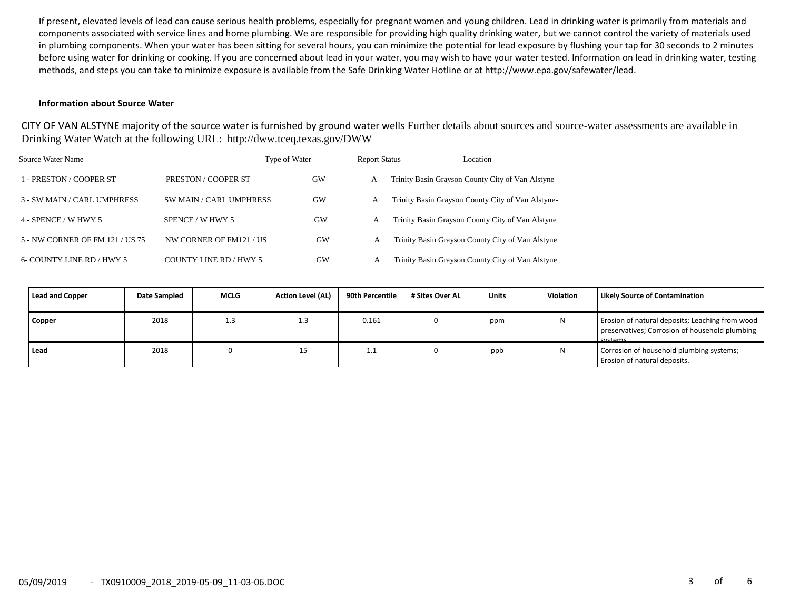If present, elevated levels of lead can cause serious health problems, especially for pregnant women and young children. Lead in drinking water is primarily from materials and components associated with service lines and home plumbing. We are responsible for providing high quality drinking water, but we cannot control the variety of materials used in plumbing components. When your water has been sitting for several hours, you can minimize the potential for lead exposure by flushing your tap for 30 seconds to 2 minutes before using water for drinking or cooking. If you are concerned about lead in your water, you may wish to have your water tested. Information on lead in drinking water, testing methods, and steps you can take to minimize exposure is available from the Safe Drinking Water Hotline or at http://www.epa.gov/safewater/lead.

#### **Information about Source Water**

CITY OF VAN ALSTYNE majority of the source water is furnished by ground water wells Further details about sources and source-water assessments are available in Drinking Water Watch at the following URL: http://dww.tceq.texas.gov/DWW

| Source Water Name               |                         | Type of Water | <b>Report Status</b> | Location                                          |
|---------------------------------|-------------------------|---------------|----------------------|---------------------------------------------------|
| 1 - PRESTON / COOPER ST         | PRESTON / COOPER ST     | GW            | А                    | Trinity Basin Grayson County City of Van Alstyne  |
| 3 - SW MAIN / CARL UMPHRESS     | SW MAIN / CARL UMPHRESS | <b>GW</b>     | A                    | Trinity Basin Grayson County City of Van Alstyne- |
| 4 - SPENCE / W HWY 5            | SPENCE / W HWY 5        | GW            | А                    | Trinity Basin Grayson County City of Van Alstyne  |
| 5 - NW CORNER OF FM 121 / US 75 | NW CORNER OF FM121 / US | <b>GW</b>     | А                    | Trinity Basin Grayson County City of Van Alstyne  |
| 6- COUNTY LINE RD / HWY 5       | COUNTY LINE RD / HWY 5  | GW            | А                    | Trinity Basin Grayson County City of Van Alstyne  |

| Lead and Copper | Date Sampled | <b>MCLG</b> | <b>Action Level (AL)</b> | 90th Percentile | # Sites Over AL | <b>Units</b> | <b>Violation</b> | <b>Likely Source of Contamination</b>                                                                        |
|-----------------|--------------|-------------|--------------------------|-----------------|-----------------|--------------|------------------|--------------------------------------------------------------------------------------------------------------|
| Copper          | 2018         | 1.3         | 1.3                      | 0.161           |                 | ppm          |                  | Erosion of natural deposits; Leaching from wood<br>preservatives; Corrosion of household plumbing<br>cystems |
| Lead            | 2018         |             | 15                       | <b></b>         |                 | ppb          |                  | Corrosion of household plumbing systems;<br>Erosion of natural deposits.                                     |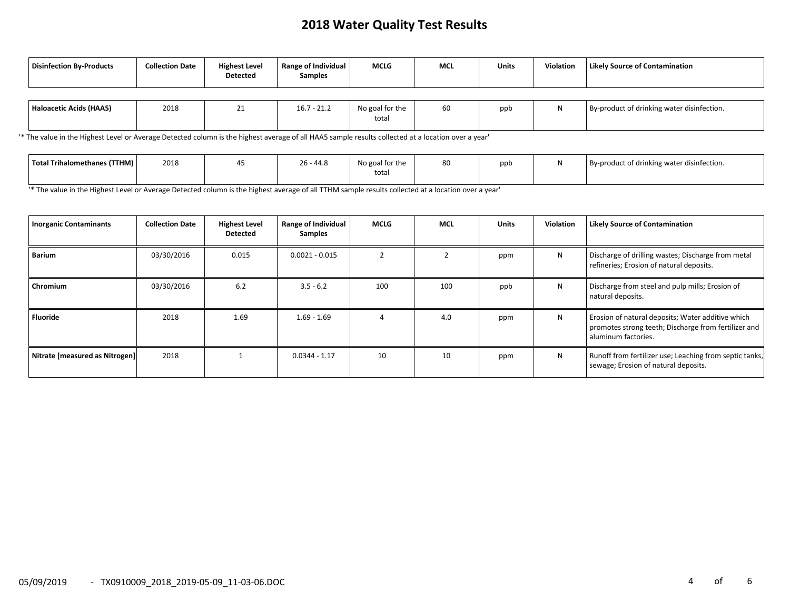### **2018 Water Quality Test Results**

| <b>Disinfection By-Products</b> | <b>Collection Date</b> | <b>Highest Level</b><br><b>Detected</b> | <b>Range of Individual</b><br><b>Samples</b> | <b>MCLG</b>              | <b>MCL</b> | Units | <b>Violation</b> | <b>Likely Source of Contamination</b>      |
|---------------------------------|------------------------|-----------------------------------------|----------------------------------------------|--------------------------|------------|-------|------------------|--------------------------------------------|
| Haloacetic Acids (HAA5)         | 2018                   | 21                                      | $16.7 - 21.2$                                | No goal for the<br>total | 60         | ppb   | ı٧               | By-product of drinking water disinfection. |

'\* The value in the Highest Level or Average Detected column is the highest average of all HAA5 sample results collected at a location over a year'

| Total Trihalomethanes (TTHM) | 2018 | $\sim$<br>$\overline{\phantom{a}}$<br>- 44.0 ^ | No goal for the | 80 | ppb | By-product of drinking water disinfection. |
|------------------------------|------|------------------------------------------------|-----------------|----|-----|--------------------------------------------|
|                              |      |                                                | total           |    |     |                                            |

'\* The value in the Highest Level or Average Detected column is the highest average of all TTHM sample results collected at a location over a year'

| <b>Inorganic Contaminants</b>  | <b>Collection Date</b> | <b>Highest Level</b><br>Detected | Range of Individual<br><b>Samples</b> | <b>MCLG</b> | <b>MCL</b> | <b>Units</b> | <b>Violation</b> | <b>Likely Source of Contamination</b>                                                                                            |
|--------------------------------|------------------------|----------------------------------|---------------------------------------|-------------|------------|--------------|------------------|----------------------------------------------------------------------------------------------------------------------------------|
| <b>Barium</b>                  | 03/30/2016             | 0.015                            | $0.0021 - 0.015$                      |             |            | ppm          | N                | Discharge of drilling wastes; Discharge from metal<br>refineries; Erosion of natural deposits.                                   |
| Chromium                       | 03/30/2016             | 6.2                              | $3.5 - 6.2$                           | 100         | 100        | ppb          | N                | Discharge from steel and pulp mills; Erosion of<br>natural deposits.                                                             |
| <b>Fluoride</b>                | 2018                   | 1.69                             | $1.69 - 1.69$                         |             | 4.0        | ppm          | N                | Erosion of natural deposits; Water additive which<br>promotes strong teeth; Discharge from fertilizer and<br>aluminum factories. |
| Nitrate [measured as Nitrogen] | 2018                   |                                  | $0.0344 - 1.17$                       | 10          | 10         | ppm          | N                | Runoff from fertilizer use; Leaching from septic tanks,<br>sewage; Erosion of natural deposits.                                  |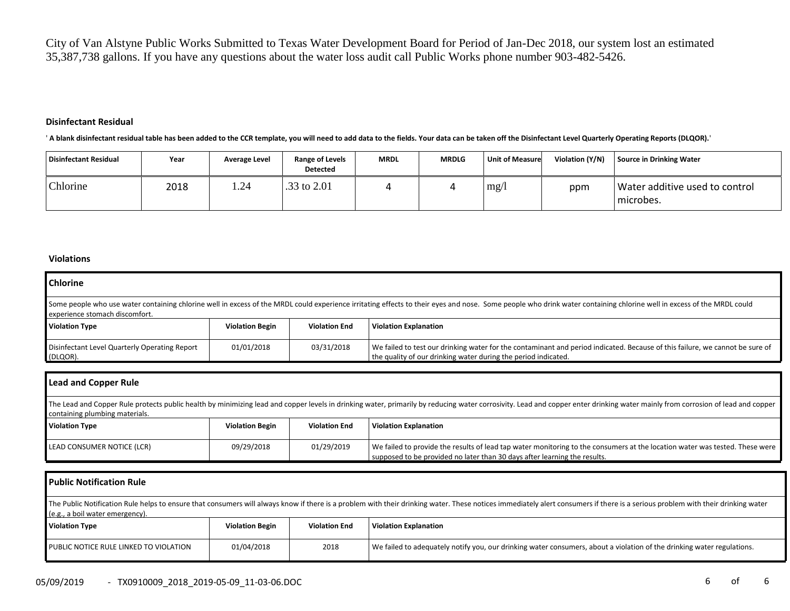City of Van Alstyne Public Works Submitted to Texas Water Development Board for Period of Jan-Dec 2018, our system lost an estimated 35,387,738 gallons. If you have any questions about the water loss audit call Public Works phone number 903-482-5426.

#### **Disinfectant Residual**

' **A blank disinfectant residual table has been added to the CCR template, you will need to add data to the fields. Your data can be taken off the Disinfectant Level Quarterly Operating Reports (DLQOR).**'

| Disinfectant Residual | Year | <b>Average Level</b> | Range of Levels<br><b>Detected</b> | <b>MRDL</b> | <b>MRDLG</b> | <b>Unit of Measure</b> | Violation (Y/N) | Source in Drinking Water                      |
|-----------------------|------|----------------------|------------------------------------|-------------|--------------|------------------------|-----------------|-----------------------------------------------|
| Chlorine              | 2018 | 1.24                 | .33 to 2.01                        |             |              | mg/                    | ppm             | Water additive used to control<br>I microbes. |

#### **Violations**

| <b>Chlorine</b>                                                                                                                                                                                                                                         |                        |                      |                                                                                                                                                                                                |  |  |  |  |  |
|---------------------------------------------------------------------------------------------------------------------------------------------------------------------------------------------------------------------------------------------------------|------------------------|----------------------|------------------------------------------------------------------------------------------------------------------------------------------------------------------------------------------------|--|--|--|--|--|
| Some people who use water containing chlorine well in excess of the MRDL could experience irritating effects to their eyes and nose. Some people who drink water containing chlorine well in excess of the MRDL could<br>experience stomach discomfort. |                        |                      |                                                                                                                                                                                                |  |  |  |  |  |
| <b>Violation Type</b>                                                                                                                                                                                                                                   | <b>Violation Begin</b> | <b>Violation End</b> | <b>Violation Explanation</b>                                                                                                                                                                   |  |  |  |  |  |
| Disinfectant Level Quarterly Operating Report<br>(DLQOR).                                                                                                                                                                                               | 01/01/2018             | 03/31/2018           | We failed to test our drinking water for the contaminant and period indicated. Because of this failure, we cannot be sure of<br>the quality of our drinking water during the period indicated. |  |  |  |  |  |

| Lead and Copper Rule                                                                                                                                                                                                                                             |                        |                      |                                                                                                                                                                                                          |  |  |  |  |
|------------------------------------------------------------------------------------------------------------------------------------------------------------------------------------------------------------------------------------------------------------------|------------------------|----------------------|----------------------------------------------------------------------------------------------------------------------------------------------------------------------------------------------------------|--|--|--|--|
| The Lead and Copper Rule protects public health by minimizing lead and copper levels in drinking water, primarily by reducing water corrosivity. Lead and copper enter drinking water mainly from corrosion of lead and copper<br>containing plumbing materials. |                        |                      |                                                                                                                                                                                                          |  |  |  |  |
| <b>Violation Type</b>                                                                                                                                                                                                                                            | <b>Violation Begin</b> | <b>Violation End</b> | <b>Violation Explanation</b>                                                                                                                                                                             |  |  |  |  |
| LEAD CONSUMER NOTICE (LCR)                                                                                                                                                                                                                                       | 09/29/2018             | 01/29/2019           | We failed to provide the results of lead tap water monitoring to the consumers at the location water was tested. These were<br>supposed to be provided no later than 30 days after learning the results. |  |  |  |  |

| <b>Public Notification Rule</b>                                                                                                                                                                                                                                   |                        |                      |                                                                                                                        |  |  |  |  |
|-------------------------------------------------------------------------------------------------------------------------------------------------------------------------------------------------------------------------------------------------------------------|------------------------|----------------------|------------------------------------------------------------------------------------------------------------------------|--|--|--|--|
| The Public Notification Rule helps to ensure that consumers will always know if there is a problem with their drinking water. These notices immediately alert consumers if there is a serious problem with their drinking wate<br>(e.g., a boil water emergency). |                        |                      |                                                                                                                        |  |  |  |  |
| <b>Violation Type</b>                                                                                                                                                                                                                                             | <b>Violation Begin</b> | <b>Violation End</b> | <b>Violation Explanation</b>                                                                                           |  |  |  |  |
| PUBLIC NOTICE RULE LINKED TO VIOLATION                                                                                                                                                                                                                            | 01/04/2018             | 2018                 | We failed to adequately notify you, our drinking water consumers, about a violation of the drinking water regulations. |  |  |  |  |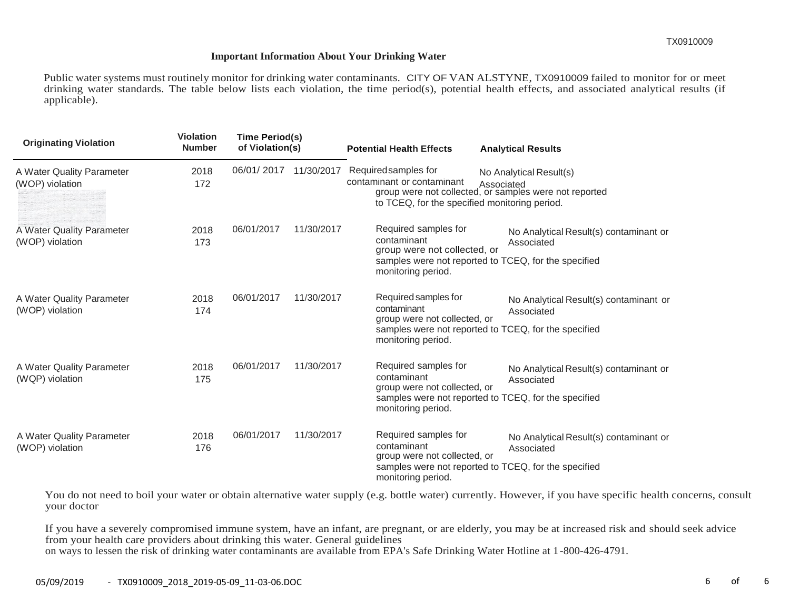### **Important Information About Your Drinking Water**

Public water systems must routinely monitor for drinking water contaminants. CITY OF VAN ALSTYNE, TX0910009 failed to monitor for or meet drinking water standards. The table below lists each violation, the time period(s), potential health effects, and associated analytical results (if applicable).

| <b>Originating Violation</b>                 | <b>Violation</b><br><b>Number</b> | Time Period(s)<br>of Violation(s) |            | <b>Potential Health Effects</b>                                                                     | <b>Analytical Results</b>                                                                                    |
|----------------------------------------------|-----------------------------------|-----------------------------------|------------|-----------------------------------------------------------------------------------------------------|--------------------------------------------------------------------------------------------------------------|
| A Water Quality Parameter<br>(WOP) violation | 2018<br>172                       | 06/01/2017                        | 11/30/2017 | Required samples for<br>contaminant or contaminant<br>to TCEQ, for the specified monitoring period. | No Analytical Result(s)<br>Associated<br>group were not collected, or samples were not reported              |
| A Water Quality Parameter<br>(WOP) violation | 2018<br>173                       | 06/01/2017                        | 11/30/2017 | Required samples for<br>contaminant<br>group were not collected, or<br>monitoring period.           | No Analytical Result(s) contaminant or<br>Associated<br>samples were not reported to TCEQ, for the specified |
| A Water Quality Parameter<br>(WOP) violation | 2018<br>174                       | 06/01/2017                        | 11/30/2017 | Required samples for<br>contaminant<br>group were not collected, or<br>monitoring period.           | No Analytical Result(s) contaminant or<br>Associated<br>samples were not reported to TCEQ, for the specified |
| A Water Quality Parameter<br>(WQP) violation | 2018<br>175                       | 06/01/2017                        | 11/30/2017 | Required samples for<br>contaminant<br>group were not collected, or<br>monitoring period.           | No Analytical Result(s) contaminant or<br>Associated<br>samples were not reported to TCEQ, for the specified |
| A Water Quality Parameter<br>(WOP) violation | 2018<br>176                       | 06/01/2017                        | 11/30/2017 | Required samples for<br>contaminant<br>group were not collected, or<br>monitoring period.           | No Analytical Result(s) contaminant or<br>Associated<br>samples were not reported to TCEQ, for the specified |

You do not need to boil your water or obtain alternative water supply (e.g. bottle water) currently. However, if you have specific health concerns, consult your doctor

If you have a severely compromised immune system, have an infant, are pregnant, or are elderly, you may be at increased risk and should seek advice from your health care providers about drinking this water. General guidelines on ways to lessen the risk of drinking water contaminants are available from EPA's Safe Drinking Water Hotline at 1-800-426-4791.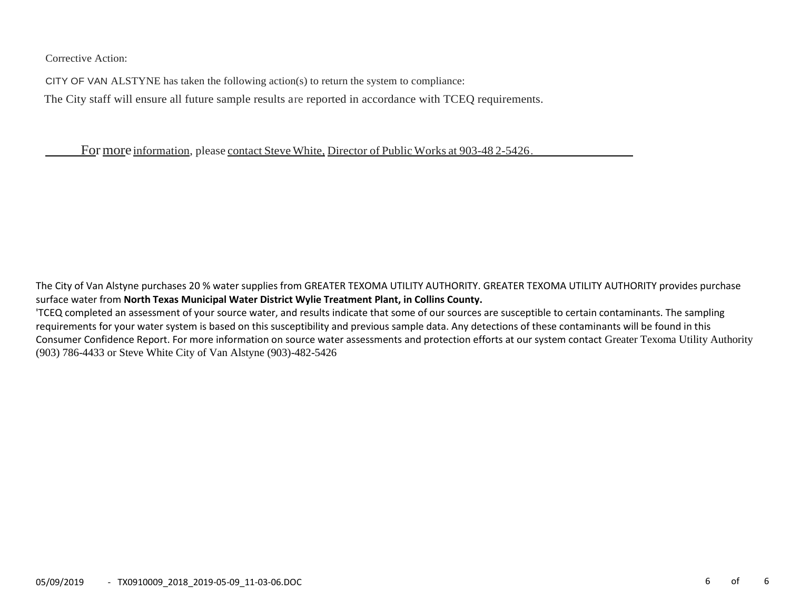Corrective Action:

CITY OF VAN ALSTYNE has taken the following action(s) to return the system to compliance:

The City staff will ensure all future sample results are reported in accordance with TCEQ requirements.

For more information, please contact Steve White, Director of Public Works at 903-48 2-5426.

The City of Van Alstyne purchases 20 % water supplies from GREATER TEXOMA UTILITY AUTHORITY. GREATER TEXOMA UTILITY AUTHORITY provides purchase surface water from **North Texas Municipal Water District Wylie Treatment Plant, in Collins County.**

'TCEQ completed an assessment of your source water, and results indicate that some of our sources are susceptible to certain contaminants. The sampling requirements for your water system is based on this susceptibility and previous sample data. Any detections of these contaminants will be found in this Consumer Confidence Report. For more information on source water assessments and protection efforts at our system contact Greater Texoma Utility Authority (903) 786-4433 or Steve White City of Van Alstyne (903)-482-5426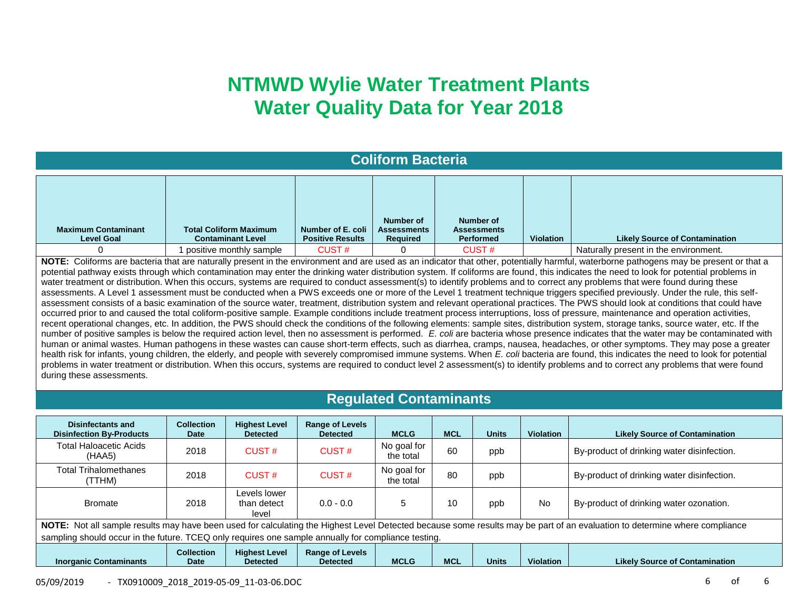## **NTMWD Wylie Water Treatment Plants Water Quality Data for Year 2018**

## **Coliform Bacteria**

| <b>Maximum Contaminant</b><br><b>Level Goal</b> | <b>Total Coliform Maximum</b><br><b>Contaminant Level</b> | Number of E. coli<br><b>Positive Results</b> | Number of<br><b>Assessments</b><br><b>Required</b> | Number of<br><b>Assessments</b><br><b>Performed</b> | Violation | <b>Likely Source of Contamination</b> |
|-------------------------------------------------|-----------------------------------------------------------|----------------------------------------------|----------------------------------------------------|-----------------------------------------------------|-----------|---------------------------------------|
|                                                 | positive monthly sample                                   | CUST#                                        |                                                    | <b>CUST#</b>                                        |           | Naturally present in the environment. |

**NOTE:** Coliforms are bacteria that are naturally present in the environment and are used as an indicator that other, potentially harmful, waterborne pathogens may be present or that a potential pathway exists through which contamination may enter the drinking water distribution system. If coliforms are found, this indicates the need to look for potential problems in water treatment or distribution. When this occurs, systems are required to conduct assessment(s) to identify problems and to correct any problems that were found during these assessments. A Level 1 assessment must be conducted when a PWS exceeds one or more of the Level 1 treatment technique triggers specified previously. Under the rule, this selfassessment consists of a basic examination of the source water, treatment, distribution system and relevant operational practices. The PWS should look at conditions that could have occurred prior to and caused the total coliform-positive sample. Example conditions include treatment process interruptions, loss of pressure, maintenance and operation activities, recent operational changes, etc. In addition, the PWS should check the conditions of the following elements: sample sites, distribution system, storage tanks, source water, etc. If the number of positive samples is below the required action level, then no assessment is performed. E. coli are bacteria whose presence indicates that the water may be contaminated with human or animal wastes. Human pathogens in these wastes can cause short-term effects, such as diarrhea, cramps, nausea, headaches, or other symptoms. They may pose a greater health risk for infants, young children, the elderly, and people with severely compromised immune systems. When *E. coli* bacteria are found, this indicates the need to look for potential problems in water treatment or distribution. When this occurs, systems are required to conduct level 2 assessment(s) to identify problems and to correct any problems that were found during these assessments.

### **Regulated Contaminants**

| Disinfectants and<br><b>Disinfection By-Products</b>                                                | <b>Collection</b><br><b>Date</b> | <b>Highest Level</b><br><b>Detected</b> | <b>Range of Levels</b><br><b>Detected</b> | <b>MCLG</b>              | <b>MCL</b> | <b>Units</b> | <b>Violation</b> | <b>Likely Source of Contamination</b>                                                                                                                                      |
|-----------------------------------------------------------------------------------------------------|----------------------------------|-----------------------------------------|-------------------------------------------|--------------------------|------------|--------------|------------------|----------------------------------------------------------------------------------------------------------------------------------------------------------------------------|
| <b>Total Haloacetic Acids</b><br>(HAA5)                                                             | 2018                             | CUST#                                   | CUST#                                     | No goal for<br>the total | 60         | ppb          |                  | By-product of drinking water disinfection.                                                                                                                                 |
| <b>Total Trihalomethanes</b><br>(TTHM)                                                              | 2018                             | CUST#                                   | CUST#                                     | No goal for<br>the total | 80         | ppb          |                  | By-product of drinking water disinfection.                                                                                                                                 |
| <b>Bromate</b>                                                                                      | 2018                             | Levels lower<br>than detect<br>level    | $0.0 - 0.0$                               | 5                        | 10         | ppb          | <b>No</b>        | By-product of drinking water ozonation.                                                                                                                                    |
|                                                                                                     |                                  |                                         |                                           |                          |            |              |                  | NOTE: Not all sample results may have been used for calculating the Highest Level Detected because some results may be part of an evaluation to determine where compliance |
| sampling should occur in the future. TCEQ only requires one sample annually for compliance testing. |                                  |                                         |                                           |                          |            |              |                  |                                                                                                                                                                            |
| <b>Inorganic Contaminants</b>                                                                       | <b>Collection</b><br><b>Date</b> | <b>Highest Level</b><br><b>Detected</b> | <b>Range of Levels</b><br><b>Detected</b> | <b>MCLG</b>              | <b>MCL</b> | <b>Units</b> | <b>Violation</b> | <b>Likely Source of Contamination</b>                                                                                                                                      |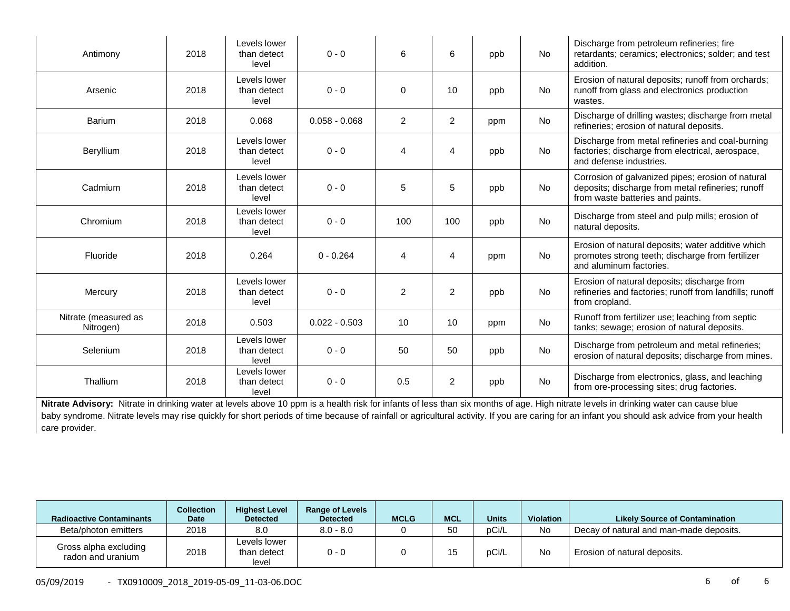| Antimony                          | 2018 | Levels lower<br>than detect<br>level | $0 - 0$         | 6              | 6              | ppb | <b>No</b> | Discharge from petroleum refineries; fire<br>retardants; ceramics; electronics; solder; and test<br>addition.                              |
|-----------------------------------|------|--------------------------------------|-----------------|----------------|----------------|-----|-----------|--------------------------------------------------------------------------------------------------------------------------------------------|
| Arsenic                           | 2018 | Levels lower<br>than detect<br>level | $0 - 0$         | 0              | 10             | ppb | <b>No</b> | Erosion of natural deposits; runoff from orchards;<br>runoff from glass and electronics production<br>wastes.                              |
| <b>Barium</b>                     | 2018 | 0.068                                | $0.058 - 0.068$ | $\overline{a}$ | $\overline{2}$ | ppm | <b>No</b> | Discharge of drilling wastes; discharge from metal<br>refineries; erosion of natural deposits.                                             |
| Beryllium                         | 2018 | Levels lower<br>than detect<br>level | $0 - 0$         | 4              | 4              | ppb | <b>No</b> | Discharge from metal refineries and coal-burning<br>factories; discharge from electrical, aerospace,<br>and defense industries.            |
| Cadmium                           | 2018 | Levels lower<br>than detect<br>level | $0 - 0$         | 5              | 5              | ppb | <b>No</b> | Corrosion of galvanized pipes; erosion of natural<br>deposits; discharge from metal refineries; runoff<br>from waste batteries and paints. |
| Chromium                          | 2018 | Levels lower<br>than detect<br>level | $0 - 0$         | 100            | 100            | ppb | <b>No</b> | Discharge from steel and pulp mills; erosion of<br>natural deposits.                                                                       |
| Fluoride                          | 2018 | 0.264                                | $0 - 0.264$     | 4              | 4              | ppm | <b>No</b> | Erosion of natural deposits; water additive which<br>promotes strong teeth; discharge from fertilizer<br>and aluminum factories.           |
| Mercury                           | 2018 | Levels lower<br>than detect<br>level | $0 - 0$         | $\overline{2}$ | $\overline{2}$ | ppb | <b>No</b> | Erosion of natural deposits; discharge from<br>refineries and factories; runoff from landfills; runoff<br>from cropland.                   |
| Nitrate (measured as<br>Nitrogen) | 2018 | 0.503                                | $0.022 - 0.503$ | 10             | 10             | ppm | <b>No</b> | Runoff from fertilizer use; leaching from septic<br>tanks; sewage; erosion of natural deposits.                                            |
| Selenium                          | 2018 | Levels lower<br>than detect<br>level | $0 - 0$         | 50             | 50             | ppb | <b>No</b> | Discharge from petroleum and metal refineries;<br>erosion of natural deposits; discharge from mines.                                       |
| Thallium                          | 2018 | Levels lower<br>than detect<br>level | $0 - 0$         | 0.5            | $\overline{2}$ | ppb | No        | Discharge from electronics, glass, and leaching<br>from ore-processing sites; drug factories.                                              |

Nitrate Advisory: Nitrate in drinking water at levels above 10 ppm is a health risk for infants of less than six months of age. High nitrate levels in drinking water can cause blue baby syndrome. Nitrate levels may rise quickly for short periods of time because of rainfall or agricultural activity. If you are caring for an infant you should ask advice from your health care provider.

| <b>Radioactive Contaminants</b>            | <b>Collection</b><br><b>Date</b> | <b>Highest Level</b><br><b>Detected</b> | <b>Range of Levels</b><br><b>Detected</b> | <b>MCLG</b> | <b>MCL</b> | <b>Units</b> | <b>Violation</b> | <b>Likely Source of Contamination</b>   |
|--------------------------------------------|----------------------------------|-----------------------------------------|-------------------------------------------|-------------|------------|--------------|------------------|-----------------------------------------|
| Beta/photon emitters                       | 2018                             | 8.0                                     | $8.0 - 8.0$                               |             | 50         | pCi/L        | No               | Decay of natural and man-made deposits. |
| Gross alpha excluding<br>radon and uranium | 2018                             | Levels lower<br>than detect<br>level    | $0 - 0$                                   |             |            | pCi/L        | <b>No</b>        | Erosion of natural deposits.            |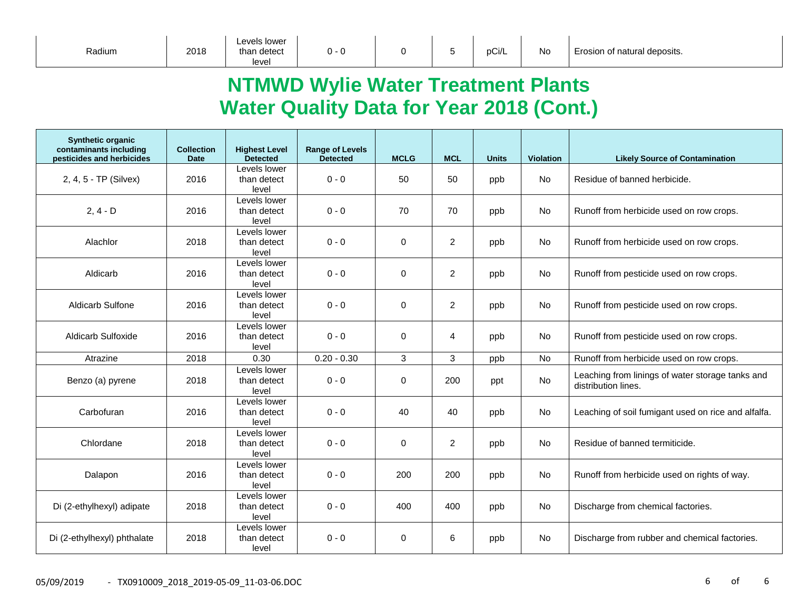| Radium<br>2018 | than detect<br>u<br>level |  | . . | pCi/L | <b>No</b> | Erosion of natural deposits. |
|----------------|---------------------------|--|-----|-------|-----------|------------------------------|
|----------------|---------------------------|--|-----|-------|-----------|------------------------------|

## **NTMWD Wylie Water Treatment Plants Water Quality Data for Year 2018 (Cont.)**

| <b>Synthetic organic</b><br>contaminants including<br>pesticides and herbicides | <b>Collection</b><br><b>Date</b> | <b>Highest Level</b><br><b>Detected</b> | <b>Range of Levels</b><br><b>Detected</b> | <b>MCLG</b> | <b>MCL</b>     | <b>Units</b> | <b>Violation</b> | <b>Likely Source of Contamination</b>                                   |
|---------------------------------------------------------------------------------|----------------------------------|-----------------------------------------|-------------------------------------------|-------------|----------------|--------------|------------------|-------------------------------------------------------------------------|
| 2, 4, 5 - TP (Silvex)                                                           | 2016                             | Levels lower<br>than detect<br>level    | $0 - 0$                                   | 50          | 50             | ppb          | No               | Residue of banned herbicide.                                            |
| $2, 4 - D$                                                                      | 2016                             | Levels lower<br>than detect<br>level    | $0 - 0$                                   | 70          | 70             | ppb          | No               | Runoff from herbicide used on row crops.                                |
| Alachlor                                                                        | 2018                             | Levels lower<br>than detect<br>level    | $0 - 0$                                   | $\mathbf 0$ | $\overline{2}$ | ppb          | No.              | Runoff from herbicide used on row crops.                                |
| Aldicarb                                                                        | 2016                             | Levels lower<br>than detect<br>level    | $0 - 0$                                   | $\Omega$    | $\overline{2}$ | ppb          | <b>No</b>        | Runoff from pesticide used on row crops.                                |
| <b>Aldicarb Sulfone</b>                                                         | 2016                             | Levels lower<br>than detect<br>level    | $0 - 0$                                   | 0           | $\overline{2}$ | ppb          | No               | Runoff from pesticide used on row crops.                                |
| Aldicarb Sulfoxide                                                              | 2016                             | Levels lower<br>than detect<br>level    | $0 - 0$                                   | $\Omega$    | 4              | ppb          | No               | Runoff from pesticide used on row crops.                                |
| Atrazine                                                                        | 2018                             | 0.30                                    | $0.20 - 0.30$                             | 3           | 3              | ppb          | <b>No</b>        | Runoff from herbicide used on row crops.                                |
| Benzo (a) pyrene                                                                | 2018                             | Levels lower<br>than detect<br>level    | $0 - 0$                                   | 0           | 200            | ppt          | No               | Leaching from linings of water storage tanks and<br>distribution lines. |
| Carbofuran                                                                      | 2016                             | Levels lower<br>than detect<br>level    | $0 - 0$                                   | 40          | 40             | ppb          | No               | Leaching of soil fumigant used on rice and alfalfa.                     |
| Chlordane                                                                       | 2018                             | Levels lower<br>than detect<br>level    | $0 - 0$                                   | $\Omega$    | $\overline{2}$ | ppb          | No               | Residue of banned termiticide.                                          |
| Dalapon                                                                         | 2016                             | Levels lower<br>than detect<br>level    | $0 - 0$                                   | 200         | 200            | ppb          | No               | Runoff from herbicide used on rights of way.                            |
| Di (2-ethylhexyl) adipate                                                       | 2018                             | Levels lower<br>than detect<br>level    | $0 - 0$                                   | 400         | 400            | ppb          | <b>No</b>        | Discharge from chemical factories.                                      |
| Di (2-ethylhexyl) phthalate                                                     | 2018                             | Levels lower<br>than detect<br>level    | $0 - 0$                                   | $\mathbf 0$ | 6              | ppb          | <b>No</b>        | Discharge from rubber and chemical factories.                           |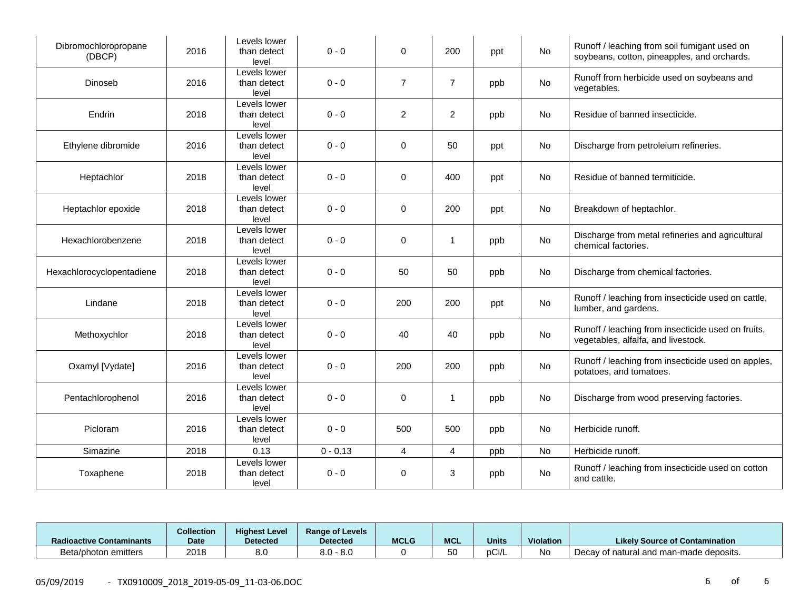| Dibromochloropropane<br>(DBCP) | 2016 | Levels lower<br>than detect<br>level | $0 - 0$    | $\Omega$       | 200            | ppt | No        | Runoff / leaching from soil fumigant used on<br>soybeans, cotton, pineapples, and orchards. |
|--------------------------------|------|--------------------------------------|------------|----------------|----------------|-----|-----------|---------------------------------------------------------------------------------------------|
| Dinoseb                        | 2016 | Levels lower<br>than detect<br>level | $0 - 0$    | $\overline{7}$ | $\overline{7}$ | ppb | No        | Runoff from herbicide used on soybeans and<br>vegetables.                                   |
| Endrin                         | 2018 | Levels lower<br>than detect<br>level | $0 - 0$    | $\overline{2}$ | $\overline{2}$ | ppb | No        | Residue of banned insecticide.                                                              |
| Ethylene dibromide             | 2016 | Levels lower<br>than detect<br>level | $0 - 0$    | 0              | 50             | ppt | No        | Discharge from petroleium refineries.                                                       |
| Heptachlor                     | 2018 | Levels lower<br>than detect<br>level | $0 - 0$    | 0              | 400            | ppt | No        | Residue of banned termiticide.                                                              |
| Heptachlor epoxide             | 2018 | Levels lower<br>than detect<br>level | $0 - 0$    | 0              | 200            | ppt | No        | Breakdown of heptachlor.                                                                    |
| Hexachlorobenzene              | 2018 | Levels lower<br>than detect<br>level | $0 - 0$    | 0              | $\mathbf{1}$   | ppb | No        | Discharge from metal refineries and agricultural<br>chemical factories.                     |
| Hexachlorocyclopentadiene      | 2018 | Levels lower<br>than detect<br>level | $0 - 0$    | 50             | 50             | ppb | No        | Discharge from chemical factories.                                                          |
| Lindane                        | 2018 | Levels lower<br>than detect<br>level | $0 - 0$    | 200            | 200            | ppt | No        | Runoff / leaching from insecticide used on cattle,<br>lumber, and gardens.                  |
| Methoxychlor                   | 2018 | Levels lower<br>than detect<br>level | $0 - 0$    | 40             | 40             | ppb | No        | Runoff / leaching from insecticide used on fruits,<br>vegetables, alfalfa, and livestock.   |
| Oxamyl [Vydate]                | 2016 | Levels lower<br>than detect<br>level | $0 - 0$    | 200            | 200            | ppb | No        | Runoff / leaching from insecticide used on apples,<br>potatoes, and tomatoes.               |
| Pentachlorophenol              | 2016 | Levels lower<br>than detect<br>level | $0 - 0$    | 0              | $\mathbf{1}$   | ppb | No        | Discharge from wood preserving factories.                                                   |
| Picloram                       | 2016 | Levels lower<br>than detect<br>level | $0 - 0$    | 500            | 500            | ppb | <b>No</b> | Herbicide runoff.                                                                           |
| Simazine                       | 2018 | 0.13                                 | $0 - 0.13$ | 4              | $\overline{4}$ | ppb | No        | Herbicide runoff.                                                                           |
| Toxaphene                      | 2018 | Levels lower<br>than detect<br>level | $0 - 0$    | 0              | 3              | ppb | No        | Runoff / leaching from insecticide used on cotton<br>and cattle.                            |

| <b>Radioactive Contaminants</b> | <b>Collection</b><br><b>Date</b> | <b>Highest Level</b><br><b>Detected</b> | <b>Range of Levels</b><br>Detected | <b>MCLG</b> | <b>MCL</b> | <b>Units</b> | Violation | <b>Likely Source of Contamination</b>   |
|---------------------------------|----------------------------------|-----------------------------------------|------------------------------------|-------------|------------|--------------|-----------|-----------------------------------------|
| Beta/photon emitters            | 2018                             | 8.0                                     | , - 8.0<br>o n<br>o.u              |             | 50<br>υu   | pCi/L        | N0        | Decay of natural and man-made deposits. |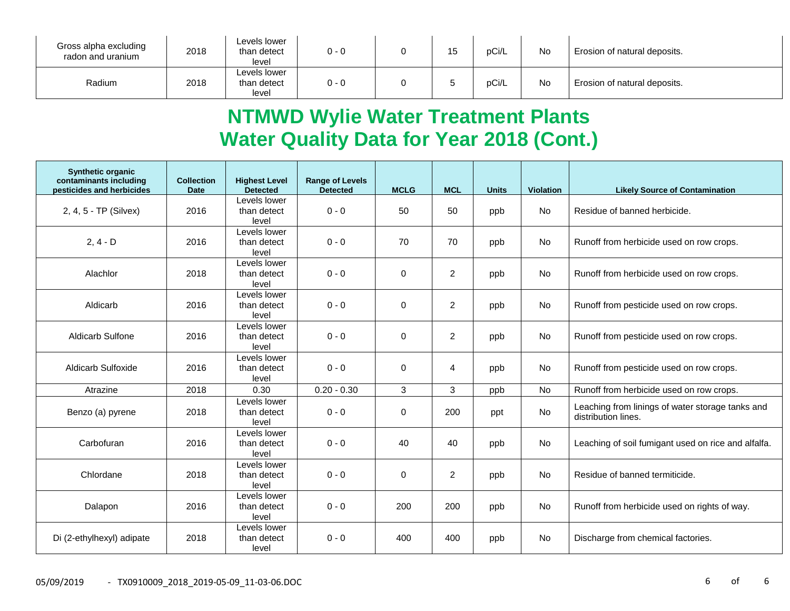| Gross alpha excluding<br>radon and uranium | 2018 | Levels lower<br>than detect<br>level | $0 - 0$ | 1 F<br>ں ا | pCi/L | <b>No</b> | Erosion of natural deposits. |
|--------------------------------------------|------|--------------------------------------|---------|------------|-------|-----------|------------------------------|
| Radium                                     | 2018 | Levels lower<br>than detect<br>level | $0 - 0$ |            | pCi/L | No        | Erosion of natural deposits. |

# **NTMWD Wylie Water Treatment Plants Water Quality Data for Year 2018 (Cont.)**

| <b>Synthetic organic</b><br>contaminants including<br>pesticides and herbicides | <b>Collection</b><br><b>Date</b> | <b>Highest Level</b><br><b>Detected</b> | <b>Range of Levels</b><br><b>Detected</b> | <b>MCLG</b> | <b>MCL</b>     | <b>Units</b> | <b>Violation</b> | <b>Likely Source of Contamination</b>                                   |
|---------------------------------------------------------------------------------|----------------------------------|-----------------------------------------|-------------------------------------------|-------------|----------------|--------------|------------------|-------------------------------------------------------------------------|
| 2, 4, 5 - TP (Silvex)                                                           | 2016                             | Levels lower<br>than detect<br>level    | $0 - 0$                                   | 50          | 50             | ppb          | <b>No</b>        | Residue of banned herbicide.                                            |
| $2, 4 - D$                                                                      | 2016                             | Levels lower<br>than detect<br>level    | $0 - 0$                                   | 70          | 70             | ppb          | <b>No</b>        | Runoff from herbicide used on row crops.                                |
| Alachlor                                                                        | 2018                             | Levels lower<br>than detect<br>level    | $0 - 0$                                   | $\Omega$    | 2              | ppb          | <b>No</b>        | Runoff from herbicide used on row crops.                                |
| Aldicarb                                                                        | 2016                             | Levels lower<br>than detect<br>level    | $0 - 0$                                   | $\mathbf 0$ | $\overline{c}$ | ppb          | No               | Runoff from pesticide used on row crops.                                |
| <b>Aldicarb Sulfone</b>                                                         | 2016                             | Levels lower<br>than detect<br>level    | $0 - 0$                                   | $\Omega$    | 2              | ppb          | <b>No</b>        | Runoff from pesticide used on row crops.                                |
| <b>Aldicarb Sulfoxide</b>                                                       | 2016                             | Levels lower<br>than detect<br>level    | $0 - 0$                                   | $\Omega$    | $\overline{4}$ | ppb          | <b>No</b>        | Runoff from pesticide used on row crops.                                |
| Atrazine                                                                        | 2018                             | 0.30                                    | $0.20 - 0.30$                             | 3           | 3              | ppb          | No               | Runoff from herbicide used on row crops.                                |
| Benzo (a) pyrene                                                                | 2018                             | Levels lower<br>than detect<br>level    | $0 - 0$                                   | $\mathbf 0$ | 200            | ppt          | No               | Leaching from linings of water storage tanks and<br>distribution lines. |
| Carbofuran                                                                      | 2016                             | Levels lower<br>than detect<br>level    | $0 - 0$                                   | 40          | 40             | ppb          | No               | Leaching of soil fumigant used on rice and alfalfa.                     |
| Chlordane                                                                       | 2018                             | Levels lower<br>than detect<br>level    | $0 - 0$                                   | $\Omega$    | 2              | ppb          | <b>No</b>        | Residue of banned termiticide.                                          |
| Dalapon                                                                         | 2016                             | Levels lower<br>than detect<br>level    | $0 - 0$                                   | 200         | 200            | ppb          | <b>No</b>        | Runoff from herbicide used on rights of way.                            |
| Di (2-ethylhexyl) adipate                                                       | 2018                             | Levels lower<br>than detect<br>level    | $0 - 0$                                   | 400         | 400            | ppb          | <b>No</b>        | Discharge from chemical factories.                                      |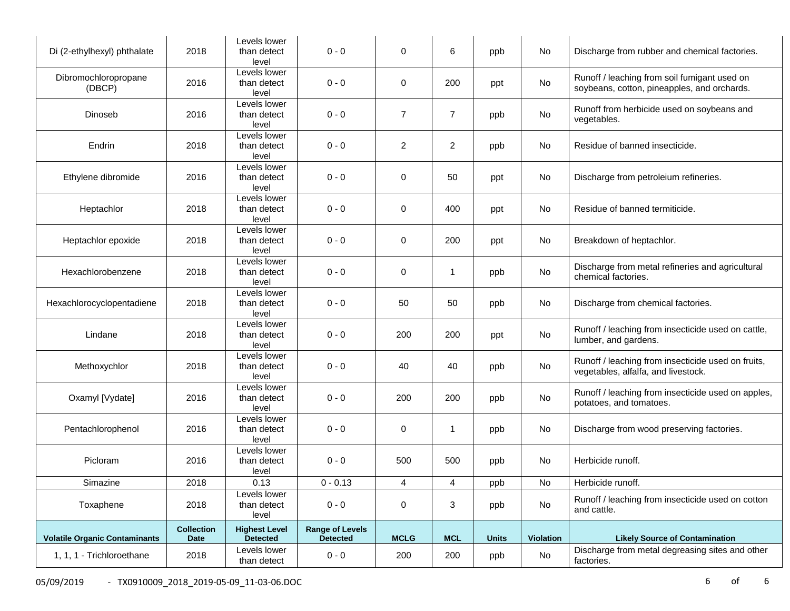| Di (2-ethylhexyl) phthalate          | 2018                             | Levels lower<br>than detect<br>level    | $0 - 0$                                   | $\mathbf 0$    | 6              | ppb          | No        | Discharge from rubber and chemical factories.                                               |
|--------------------------------------|----------------------------------|-----------------------------------------|-------------------------------------------|----------------|----------------|--------------|-----------|---------------------------------------------------------------------------------------------|
| Dibromochloropropane<br>(DBCP)       | 2016                             | Levels lower<br>than detect<br>level    | $0 - 0$                                   | 0              | 200            | ppt          | No        | Runoff / leaching from soil fumigant used on<br>soybeans, cotton, pineapples, and orchards. |
| Dinoseb                              | 2016                             | Levels lower<br>than detect<br>level    | $0 - 0$                                   | $\overline{7}$ | $\overline{7}$ | ppb          | No        | Runoff from herbicide used on soybeans and<br>vegetables.                                   |
| Endrin                               | 2018                             | Levels lower<br>than detect<br>level    | $0 - 0$                                   | $\overline{2}$ | $\overline{2}$ | ppb          | No        | Residue of banned insecticide.                                                              |
| Ethylene dibromide                   | 2016                             | Levels lower<br>than detect<br>level    | $0 - 0$                                   | 0              | 50             | ppt          | No        | Discharge from petroleium refineries.                                                       |
| Heptachlor                           | 2018                             | Levels lower<br>than detect<br>level    | $0 - 0$                                   | 0              | 400            | ppt          | No        | Residue of banned termiticide.                                                              |
| Heptachlor epoxide                   | 2018                             | Levels lower<br>than detect<br>level    | $0 - 0$                                   | 0              | 200            | ppt          | No        | Breakdown of heptachlor.                                                                    |
| Hexachlorobenzene                    | 2018                             | Levels lower<br>than detect<br>level    | $0 - 0$                                   | 0              | 1              | ppb          | No        | Discharge from metal refineries and agricultural<br>chemical factories.                     |
| Hexachlorocyclopentadiene            | 2018                             | Levels lower<br>than detect<br>level    | $0 - 0$                                   | 50             | 50             | ppb          | No        | Discharge from chemical factories.                                                          |
| Lindane                              | 2018                             | Levels lower<br>than detect<br>level    | $0 - 0$                                   | 200            | 200            | ppt          | No        | Runoff / leaching from insecticide used on cattle,<br>lumber, and gardens.                  |
| Methoxychlor                         | 2018                             | Levels lower<br>than detect<br>level    | $0 - 0$                                   | 40             | 40             | ppb          | No        | Runoff / leaching from insecticide used on fruits,<br>vegetables, alfalfa, and livestock.   |
| Oxamyl [Vydate]                      | 2016                             | Levels lower<br>than detect<br>level    | $0 - 0$                                   | 200            | 200            | ppb          | No        | Runoff / leaching from insecticide used on apples,<br>potatoes, and tomatoes.               |
| Pentachlorophenol                    | 2016                             | Levels lower<br>than detect<br>level    | $0 - 0$                                   | 0              | $\mathbf{1}$   | ppb          | No        | Discharge from wood preserving factories.                                                   |
| Picloram                             | 2016                             | Levels lower<br>than detect<br>level    | $0 - 0$                                   | 500            | 500            | ppb          | No        | Herbicide runoff.                                                                           |
| Simazine                             | 2018                             | 0.13                                    | $0 - 0.13$                                | 4              | 4              | ppb          | No        | Herbicide runoff.                                                                           |
| Toxaphene                            | 2018                             | Levels lower<br>than detect<br>level    | $0 - 0$                                   | 0              | 3              | ppb          | No        | Runoff / leaching from insecticide used on cotton<br>and cattle.                            |
| <b>Volatile Organic Contaminants</b> | <b>Collection</b><br><b>Date</b> | <b>Highest Level</b><br><b>Detected</b> | <b>Range of Levels</b><br><b>Detected</b> | <b>MCLG</b>    | <b>MCL</b>     | <b>Units</b> | Violation | <b>Likely Source of Contamination</b>                                                       |
| 1, 1, 1 - Trichloroethane            | 2018                             | Levels lower<br>than detect             | $0 - 0$                                   | 200            | 200            | ppb          | No        | Discharge from metal degreasing sites and other<br>factories.                               |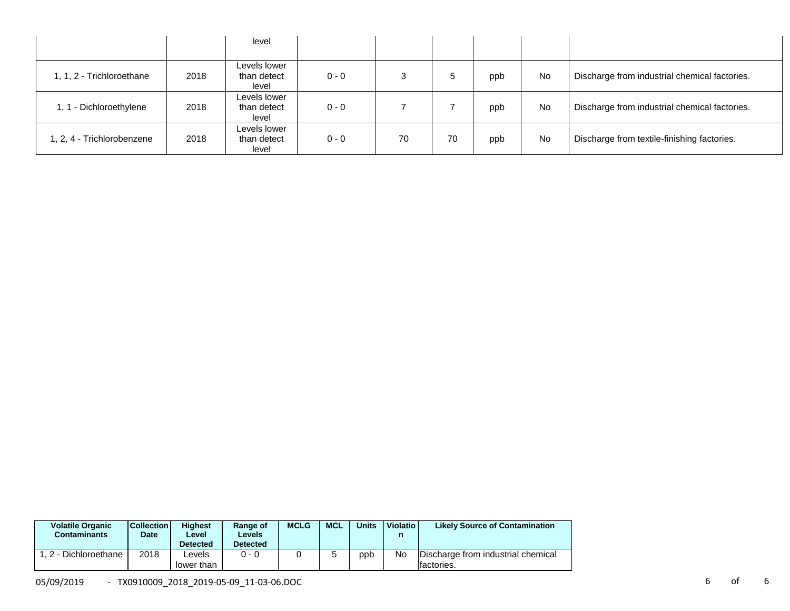|                            |      | level                                |         |    |    |     |           |                                               |
|----------------------------|------|--------------------------------------|---------|----|----|-----|-----------|-----------------------------------------------|
| 1, 1, 2 - Trichloroethane  | 2018 | Levels lower<br>than detect<br>level | $0 - 0$ |    | ÷  | ppb | <b>No</b> | Discharge from industrial chemical factories. |
| 1, 1 - Dichloroethylene    | 2018 | Levels lower<br>than detect<br>level | $0 - 0$ |    |    | ppb | No        | Discharge from industrial chemical factories. |
| 1, 2, 4 - Trichlorobenzene | 2018 | Levels lower<br>than detect<br>level | $0 - 0$ | 70 | 70 | ppb | <b>No</b> | Discharge from textile-finishing factories.   |

| <b>Volatile Organic</b><br><b>Contaminants</b> | <b>Collection</b><br>Date | <b>Highest</b><br>Level<br><b>Detected</b> | Range of<br>Levels<br><b>Detected</b> | <b>MCLG</b> | <b>MCL</b> | <b>Units</b> | Violatio  | <b>Likely Source of Contamination</b>             |
|------------------------------------------------|---------------------------|--------------------------------------------|---------------------------------------|-------------|------------|--------------|-----------|---------------------------------------------------|
| . 2 - Dichloroethane                           | 2018                      | ∟evels<br>lower than                       | $0 - 0$                               |             |            | ppb          | <b>No</b> | Discharge from industrial chemical<br>Ifactories. |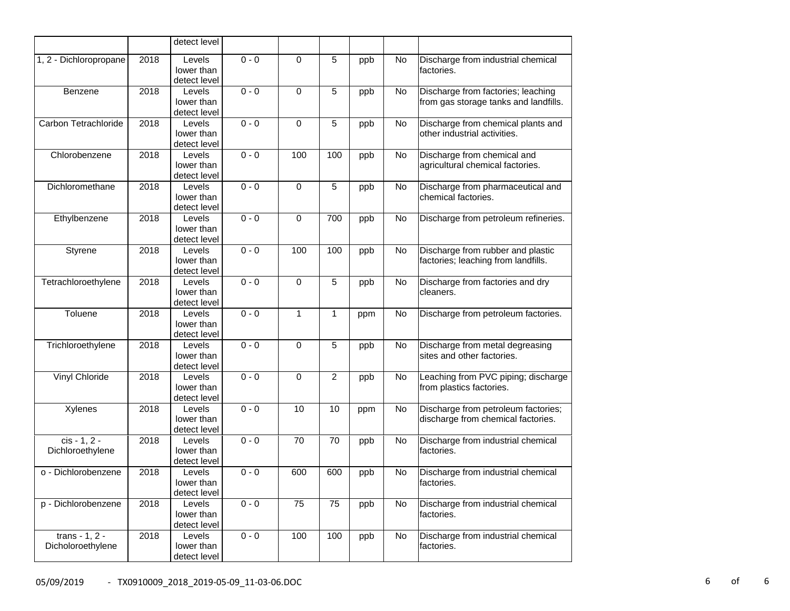|                                     |      | detect level                         |         |             |                |     |    |                                                                             |
|-------------------------------------|------|--------------------------------------|---------|-------------|----------------|-----|----|-----------------------------------------------------------------------------|
| 1, 2 - Dichloropropane              | 2018 | Levels<br>lower than<br>detect level | $0 - 0$ | 0           | 5              | ppb | No | Discharge from industrial chemical<br>factories.                            |
| Benzene                             | 2018 | Levels<br>lower than<br>detect level | $0 - 0$ | $\mathbf 0$ | 5              | ppb | No | Discharge from factories; leaching<br>from gas storage tanks and landfills. |
| Carbon Tetrachloride                | 2018 | Levels<br>lower than<br>detect level | $0 - 0$ | 0           | 5              | ppb | No | Discharge from chemical plants and<br>other industrial activities.          |
| Chlorobenzene                       | 2018 | Levels<br>lower than<br>detect level | $0 - 0$ | 100         | 100            | ppb | No | Discharge from chemical and<br>agricultural chemical factories.             |
| Dichloromethane                     | 2018 | Levels<br>lower than<br>detect level | $0 - 0$ | 0           | 5              | ppb | No | Discharge from pharmaceutical and<br>chemical factories.                    |
| Ethylbenzene                        | 2018 | Levels<br>lower than<br>detect level | $0 - 0$ | $\mathbf 0$ | 700            | ppb | No | Discharge from petroleum refineries.                                        |
| Styrene                             | 2018 | Levels<br>lower than<br>detect level | $0 - 0$ | 100         | 100            | ppb | No | Discharge from rubber and plastic<br>factories; leaching from landfills.    |
| Tetrachloroethylene                 | 2018 | Levels<br>lower than<br>detect level | $0 - 0$ | $\mathbf 0$ | 5              | ppb | No | Discharge from factories and dry<br>cleaners.                               |
| Toluene                             | 2018 | Levels<br>lower than<br>detect level | $0 - 0$ | 1           | 1              | ppm | No | Discharge from petroleum factories.                                         |
| Trichloroethylene                   | 2018 | Levels<br>lower than<br>detect level | $0 - 0$ | $\pmb{0}$   | 5              | ppb | No | Discharge from metal degreasing<br>sites and other factories.               |
| Vinyl Chloride                      | 2018 | Levels<br>lower than<br>detect level | $0 - 0$ | 0           | $\overline{c}$ | ppb | No | Leaching from PVC piping; discharge<br>from plastics factories.             |
| Xylenes                             | 2018 | Levels<br>lower than<br>detect level | $0 - 0$ | 10          | 10             | ppm | No | Discharge from petroleum factories;<br>discharge from chemical factories.   |
| $cis - 1, 2 -$<br>Dichloroethylene  | 2018 | Levels<br>lower than<br>detect level | $0 - 0$ | 70          | 70             | ppb | No | Discharge from industrial chemical<br>factories.                            |
| o - Dichlorobenzene                 | 2018 | Levels<br>lower than<br>detect level | $0 - 0$ | 600         | 600            | ppb | No | Discharge from industrial chemical<br>factories.                            |
| p - Dichlorobenzene                 | 2018 | Levels<br>lower than<br>detect level | $0 - 0$ | 75          | 75             | ppb | No | Discharge from industrial chemical<br>factories.                            |
| trans - 1, 2 -<br>Dicholoroethylene | 2018 | Levels<br>lower than<br>detect level | $0 - 0$ | 100         | 100            | ppb | No | Discharge from industrial chemical<br>factories.                            |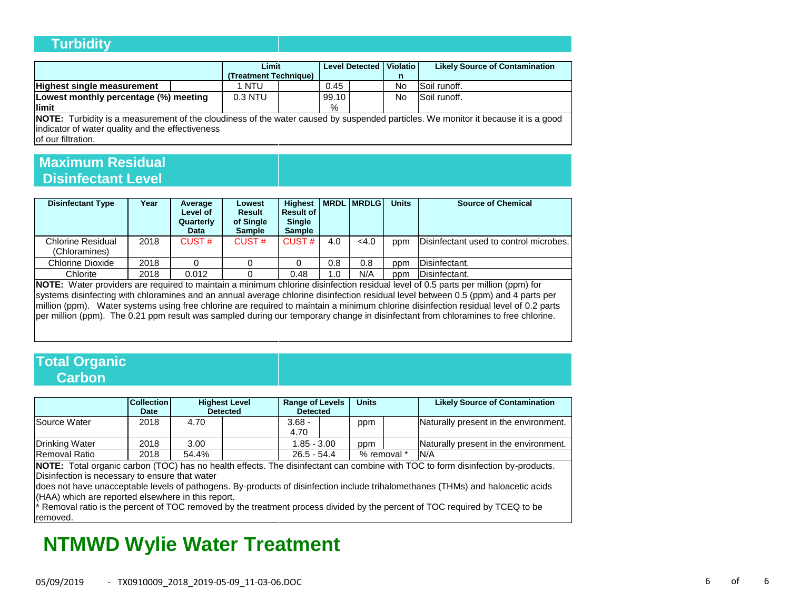### **Turbidity**

|                                                                                                                                          |  | Limit<br>(Treatment Technique) |  |       |  | Level Detected   Violatio  <br>n | <b>Likely Source of Contamination</b> |
|------------------------------------------------------------------------------------------------------------------------------------------|--|--------------------------------|--|-------|--|----------------------------------|---------------------------------------|
| <b>Highest single measurement</b>                                                                                                        |  | 1 NTU                          |  | 0.45  |  | No                               | Soil runoff.                          |
| Lowest monthly percentage (%) meeting                                                                                                    |  | 0.3 NTU                        |  | 99.10 |  | No                               | Soil runoff.                          |
| llimit                                                                                                                                   |  |                                |  | %     |  |                                  |                                       |
| <b>NOTE:</b> Turbidity is a measurement of the cloudiness of the water caused by suspended particles. We monitor it because it is a good |  |                                |  |       |  |                                  |                                       |

indicator of water quality and the effectiveness of our filtration.

### **Maximum Residual Disinfectant Level**

| <b>Disinfectant Type</b>           | Year | Average<br>Level of<br>Quarterly<br>Data | Lowest<br>Result<br>of Single<br><b>Sample</b> | <b>Highest</b><br><b>Result of</b><br><b>Single</b><br><b>Sample</b> |     | <b>IMRDLIMRDLGI</b> | <b>Units</b> | <b>Source of Chemical</b>              |
|------------------------------------|------|------------------------------------------|------------------------------------------------|----------------------------------------------------------------------|-----|---------------------|--------------|----------------------------------------|
| Chlorine Residual<br>(Chloramines) | 2018 | CUST#                                    | CUST#                                          | CUST#                                                                | 4.0 | <4.0                | ppm          | Disinfectant used to control microbes. |
| Chlorine Dioxide                   | 2018 |                                          |                                                |                                                                      | 0.8 | 0.8                 | ppm          | Disinfectant.                          |
| Chlorite                           | 2018 | 0.012                                    |                                                | 0.48                                                                 | 1.0 | N/A                 | ppm          | Disinfectant.                          |

**NOTE:** Water providers are required to maintain a minimum chlorine disinfection residual level of 0.5 parts per million (ppm) for systems disinfecting with chloramines and an annual average chlorine disinfection residual level between 0.5 (ppm) and 4 parts per million (ppm). Water systems using free chlorine are required to maintain a minimum chlorine disinfection residual level of 0.2 parts per million (ppm). The 0.21 ppm result was sampled during our temporary change in disinfectant from chloramines to free chlorine.

### **Total Organic Carbon**

|                      | <b>Collection</b><br><b>Date</b> |       | <b>Highest Level</b><br><b>Detected</b> | <b>Range of Levels</b><br><b>Detected</b> | <b>Units</b> | <b>Likely Source of Contamination</b> |
|----------------------|----------------------------------|-------|-----------------------------------------|-------------------------------------------|--------------|---------------------------------------|
| Source Water         | 2018                             | 4.70  |                                         | $3.68 -$<br>4.70                          | ppm          | Naturally present in the environment. |
| Drinking Water       | 2018                             | 3.00  |                                         | $1.85 - 3.00$                             | ppm          | Naturally present in the environment. |
| <b>Removal Ratio</b> | 2018                             | 54.4% |                                         | $26.5 - 54.4$                             | % removal *  | N/A                                   |

**NOTE:** Total organic carbon (TOC) has no health effects. The disinfectant can combine with TOC to form disinfection by-products. Disinfection is necessary to ensure that water

does not have unacceptable levels of pathogens. By-products of disinfection include trihalomethanes (THMs) and haloacetic acids (HAA) which are reported elsewhere in this report.

\* Removal ratio is the percent of TOC removed by the treatment process divided by the percent of TOC required by TCEQ to be removed.

# **NTMWD Wylie Water Treatment**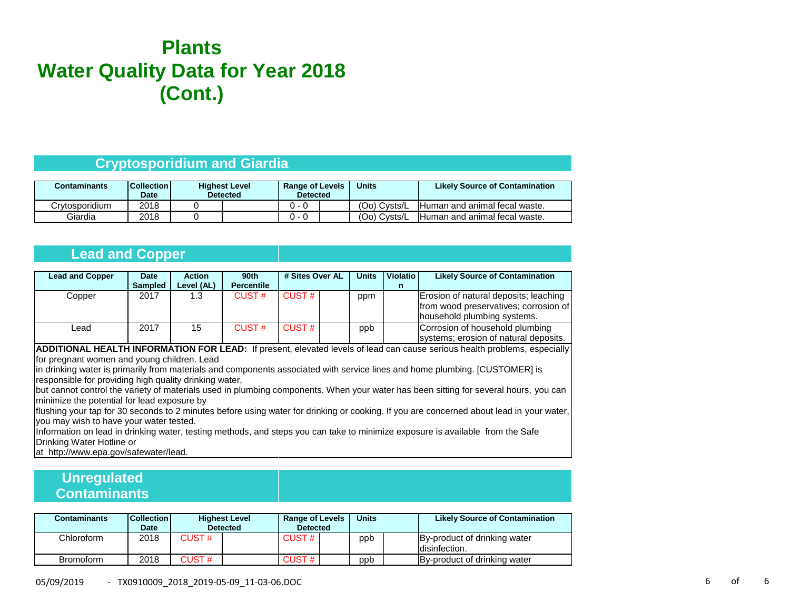# **Plants Water Quality Data for Year 2018 (Cont.)**

### **Cryptosporidium and Giardia**

| Contaminants   | <b>Collection</b><br>Date | <b>Highest Level</b><br><b>Detected</b> | <b>Range of Levels</b><br><b>Detected</b> |  | <b>Units</b> | <b>Likely Source of Contamination</b> |
|----------------|---------------------------|-----------------------------------------|-------------------------------------------|--|--------------|---------------------------------------|
| Crvtosporidium | 2018                      |                                         |                                           |  | (Oo) Cysts/L | Human and animal fecal waste.         |
| Giardia        | 2018                      |                                         |                                           |  | (Oo) Cysts/L | Human and animal fecal waste.         |

### **Lead and Copper**

| <b>Lead and Copper</b> | Date           | <b>Action</b> | 90th              | # Sites Over AL |  | <b>Units</b> | <b>Violatio</b> | <b>Likely Source of Contamination</b>                                                                         |
|------------------------|----------------|---------------|-------------------|-----------------|--|--------------|-----------------|---------------------------------------------------------------------------------------------------------------|
|                        | <b>Sampled</b> | Level (AL)    | <b>Percentile</b> |                 |  |              | n               |                                                                                                               |
| Copper                 | 2017           | 1.3           | CUST#             | CUST#           |  | ppm          |                 | Erosion of natural deposits; leaching<br>from wood preservatives; corrosion of<br>household plumbing systems. |
| ∟ead                   | 2017           | 15            | CUST#             | CUST#           |  | ppb          |                 | Corrosion of household plumbing<br>systems; erosion of natural deposits.                                      |

**ADDITIONAL HEALTH INFORMATION FOR LEAD:** If present, elevated levels of lead can cause serious health problems, especially for pregnant women and young children. Lead

in drinking water is primarily from materials and components associated with service lines and home plumbing. [CUSTOMER] is responsible for providing high quality drinking water,

but cannot control the variety of materials used in plumbing components. When your water has been sitting for several hours, you can minimize the potential for lead exposure by

flushing your tap for 30 seconds to 2 minutes before using water for drinking or cooking. If you are concerned about lead in your water, you may wish to have your water tested.

Information on lead in drinking water, testing methods, and steps you can take to minimize exposure is available from the Safe Drinking Water Hotline or

at http://www.epa.gov/safewater/lead.

## **Unregulated Contaminants**

| <b>Contaminants</b> | <b>Collection</b><br>Date | <b>Highest Level</b><br><b>Detected</b> |  | <b>Range of Levels</b><br><b>Detected</b> |  | <b>Units</b> |  | <b>Likely Source of Contamination</b>          |
|---------------------|---------------------------|-----------------------------------------|--|-------------------------------------------|--|--------------|--|------------------------------------------------|
| Chloroform          | 2018                      | CUST #                                  |  | CUST $#$                                  |  | ppb          |  | By-product of drinking water<br>Idisinfection. |
| Bromoform           | 2018                      | <b>CUST#</b>                            |  | CUST#                                     |  | ppb          |  | By-product of drinking water                   |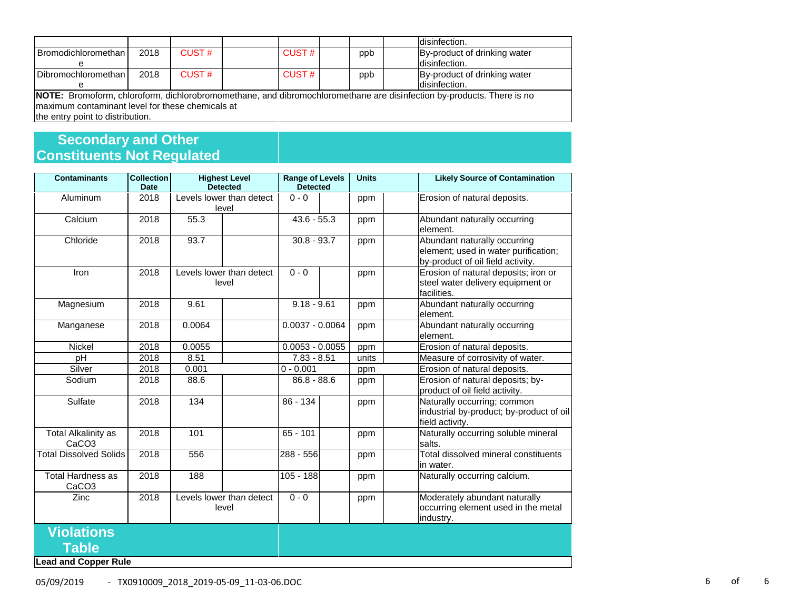|                                                                                                                       |      |       |          |  |     | Idisinfection.               |  |
|-----------------------------------------------------------------------------------------------------------------------|------|-------|----------|--|-----|------------------------------|--|
| Bromodichloromethan L                                                                                                 | 2018 | CUST# | CUST $#$ |  | ppb | By-product of drinking water |  |
|                                                                                                                       |      |       |          |  |     | Idisinfection.               |  |
| Dibromochloromethan                                                                                                   | 2018 | CUST# | CUST#    |  | ppb | By-product of drinking water |  |
|                                                                                                                       |      |       |          |  |     | disinfection.                |  |
| NOTE: Bromoform, chloroform, dichlorobromomethane, and dibromochloromethane are disinfection by-products. There is no |      |       |          |  |     |                              |  |
| Imaximum contaminant level for these chemicals at                                                                     |      |       |          |  |     |                              |  |

the entry point to distribution.

## **Secondary and Other Constituents Not Regulated**

| <b>Contaminants</b>                             | <b>Collection</b><br><b>Date</b> | <b>Highest Level</b><br><b>Detected</b> | <b>Range of Levels</b><br><b>Detected</b> | <b>Units</b> | <b>Likely Source of Contamination</b>                                                                     |
|-------------------------------------------------|----------------------------------|-----------------------------------------|-------------------------------------------|--------------|-----------------------------------------------------------------------------------------------------------|
| Aluminum                                        | 2018                             | Levels lower than detect<br>level       | $0 - 0$                                   | ppm          | Erosion of natural deposits.                                                                              |
| Calcium                                         | 2018                             | 55.3                                    | $43.6 - 55.3$                             | ppm          | Abundant naturally occurring<br>element.                                                                  |
| Chloride                                        | 2018                             | 93.7                                    | $30.8 - 93.7$                             | ppm          | Abundant naturally occurring<br>element; used in water purification;<br>by-product of oil field activity. |
| Iron                                            | 2018                             | Levels lower than detect<br>level       | $0 - 0$                                   | ppm          | Erosion of natural deposits; iron or<br>steel water delivery equipment or<br>facilities.                  |
| Magnesium                                       | 2018                             | 9.61                                    | $9.18 - 9.61$                             | ppm          | Abundant naturally occurring<br>element.                                                                  |
| Manganese                                       | 2018                             | 0.0064                                  | $0.0037 - 0.0064$                         | ppm          | Abundant naturally occurring<br>element.                                                                  |
| Nickel                                          | 2018                             | 0.0055                                  | $0.0053 - 0.0055$                         | ppm          | Erosion of natural deposits.                                                                              |
| pH                                              | 2018                             | 8.51                                    | $7.83 - 8.51$                             | units        | Measure of corrosivity of water.                                                                          |
| Silver                                          | 2018                             | 0.001                                   | $0 - 0.001$                               | ppm          | Erosion of natural deposits.                                                                              |
| Sodium                                          | 2018                             | 88.6                                    | $86.8 - 88.6$                             | ppm          | Erosion of natural deposits; by-<br>product of oil field activity.                                        |
| Sulfate                                         | 2018                             | 134                                     | 86 - 134                                  | ppm          | Naturally occurring; common<br>industrial by-product; by-product of oil<br>field activity.                |
| <b>Total Alkalinity as</b><br>CaCO <sub>3</sub> | 2018                             | 101                                     | $65 - 101$                                | ppm          | Naturally occurring soluble mineral<br>salts.                                                             |
| <b>Total Dissolved Solids</b>                   | 2018                             | 556                                     | 288 - 556                                 | ppm          | Total dissolved mineral constituents<br>in water.                                                         |
| <b>Total Hardness as</b><br>CaCO <sub>3</sub>   | 2018                             | 188                                     | $105 - 188$                               | ppm          | Naturally occurring calcium.                                                                              |
| Zinc                                            | 2018                             | Levels lower than detect<br>level       | $0 - 0$                                   | ppm          | Moderately abundant naturally<br>occurring element used in the metal<br>industry.                         |
| <b>Violations</b>                               |                                  |                                         |                                           |              |                                                                                                           |
| Table                                           |                                  |                                         |                                           |              |                                                                                                           |

**Lead and Copper Rule**